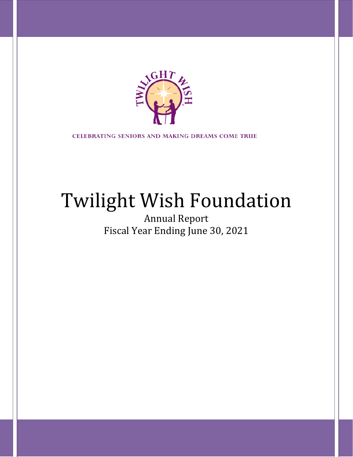

**CELEBRATING SENIORS AND MAKING DREAMS COME TRUE** 

# Twilight Wish Foundation

Annual Report Fiscal Year Ending June 30, 2021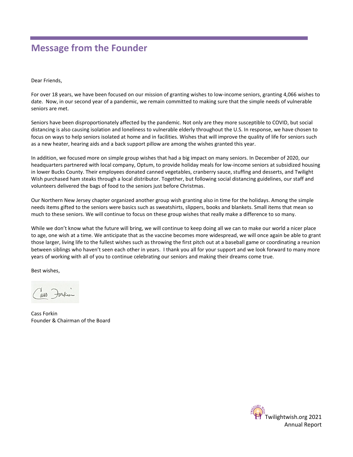### **Message from the Founder**

Dear Friends,

For over 18 years, we have been focused on our mission of granting wishes to low-income seniors, granting 4,066 wishes to date. Now, in our second year of a pandemic, we remain committed to making sure that the simple needs of vulnerable seniors are met.

Seniors have been disproportionately affected by the pandemic. Not only are they more susceptible to COVID, but social distancing is also causing isolation and loneliness to vulnerable elderly throughout the U.S. In response, we have chosen to focus on ways to help seniors isolated at home and in facilities. Wishes that will improve the quality of life for seniors such as a new heater, hearing aids and a back support pillow are among the wishes granted this year.

In addition, we focused more on simple group wishes that had a big impact on many seniors. In December of 2020, our headquarters partnered with local company, Optum, to provide holiday meals for low-income seniors at subsidized housing in lower Bucks County. Their employees donated canned vegetables, cranberry sauce, stuffing and desserts, and Twilight Wish purchased ham steaks through a local distributor. Together, but following social distancing guidelines, our staff and volunteers delivered the bags of food to the seniors just before Christmas.

Our Northern New Jersey chapter organized another group wish granting also in time for the holidays. Among the simple needs items gifted to the seniors were basics such as sweatshirts, slippers, books and blankets. Small items that mean so much to these seniors. We will continue to focus on these group wishes that really make a difference to so many.

While we don't know what the future will bring, we will continue to keep doing all we can to make our world a nicer place to age, one wish at a time. We anticipate that as the vaccine becomes more widespread, we will once again be able to grant those larger, living life to the fullest wishes such as throwing the first pitch out at a baseball game or coordinating a reunion between siblings who haven't seen each other in years. I thank you all for your support and we look forward to many more years of working with all of you to continue celebrating our seniors and making their dreams come true.

Best wishes,

Cass Forkin Founder & Chairman of the Board

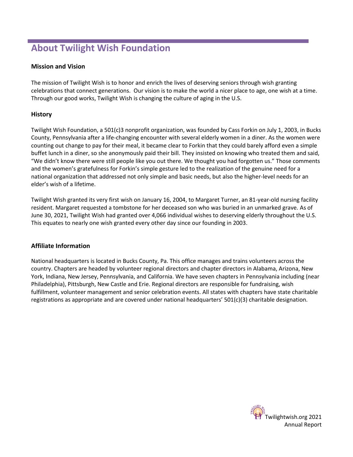# **About Twilight Wish Foundation**

#### **Mission and Vision**

The mission of Twilight Wish is to honor and enrich the lives of deserving seniors through wish granting celebrations that connect generations. Our vision is to make the world a nicer place to age, one wish at a time. Through our good works, Twilight Wish is changing the culture of aging in the U.S.

#### **History**

Twilight Wish Foundation, a 501(c)3 nonprofit organization, was founded by Cass Forkin on July 1, 2003, in Bucks County, Pennsylvania after a life-changing encounter with several elderly women in a diner. As the women were counting out change to pay for their meal, it became clear to Forkin that they could barely afford even a simple buffet lunch in a diner, so she anonymously paid their bill. They insisted on knowing who treated them and said, "We didn't know there were still people like you out there. We thought you had forgotten us." Those comments and the women's gratefulness for Forkin's simple gesture led to the realization of the genuine need for a national organization that addressed not only simple and basic needs, but also the higher-level needs for an elder's wish of a lifetime.

Twilight Wish granted its very first wish on January 16, 2004, to Margaret Turner, an 81-year-old nursing facility resident. Margaret requested a tombstone for her deceased son who was buried in an unmarked grave. As of June 30, 2021, Twilight Wish had granted over 4,066 individual wishes to deserving elderly throughout the U.S. This equates to nearly one wish granted every other day since our founding in 2003.

#### **Affiliate Information**

National headquarters is located in Bucks County, Pa. This office manages and trains volunteers across the country. Chapters are headed by volunteer regional directors and chapter directors in Alabama, Arizona, New York, Indiana, New Jersey, Pennsylvania, and California. We have seven chapters in Pennsylvania including (near Philadelphia), Pittsburgh, New Castle and Erie. Regional directors are responsible for fundraising, wish fulfillment, volunteer management and senior celebration events. All states with chapters have state charitable registrations as appropriate and are covered under national headquarters' 501(c)(3) charitable designation.

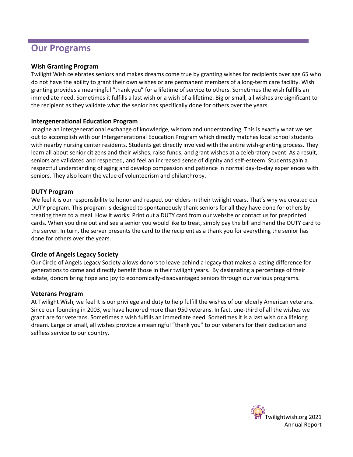### **Our Programs**

#### **Wish Granting Program**

Twilight Wish celebrates seniors and makes dreams come true by granting wishes for recipients over age 65 who do not have the ability to grant their own wishes or are permanent members of a long-term care facility. Wish granting provides a meaningful "thank you" for a lifetime of service to others. Sometimes the wish fulfills an immediate need. Sometimes it fulfills a last wish or a wish of a lifetime. Big or small, all wishes are significant to the recipient as they validate what the senior has specifically done for others over the years.

#### **Intergenerational Education Program**

Imagine an intergenerational exchange of knowledge, wisdom and understanding. This is exactly what we set out to accomplish with our Intergenerational Education Program which directly matches local school students with nearby nursing center residents. Students get directly involved with the entire wish-granting process. They learn all about senior citizens and their wishes, raise funds, and grant wishes at a celebratory event. As a result, seniors are validated and respected, and feel an increased sense of dignity and self-esteem. Students gain a respectful understanding of aging and develop compassion and patience in normal day-to-day experiences with seniors. They also learn the value of volunteerism and philanthropy.

#### **DUTY Program**

We feel it is our responsibility to honor and respect our elders in their twilight years. That's why we created our DUTY program. This program is designed to spontaneously thank seniors for all they have done for others by treating them to a meal. How it works: Print out a DUTY card from our website or contact us for preprinted cards. When you dine out and see a senior you would like to treat, simply pay the bill and hand the DUTY card to the server. In turn, the server presents the card to the recipient as a thank you for everything the senior has done for others over the years.

#### **Circle of Angels Legacy Society**

Our Circle of Angels Legacy Society allows donors to leave behind a legacy that makes a lasting difference for generations to come and directly benefit those in their twilight years. By designating a percentage of their estate, donors bring hope and joy to economically-disadvantaged seniors through our various programs.

#### **Veterans Program**

At Twilight Wish, we feel it is our privilege and duty to help fulfill the wishes of our elderly American veterans. Since our founding in 2003, we have honored more than 950 veterans. In fact, one-third of all the wishes we grant are for veterans. Sometimes a wish fulfills an immediate need. Sometimes it is a last wish or a lifelong dream. Large or small, all wishes provide a meaningful "thank you" to our veterans for their dedication and selfless service to our country.

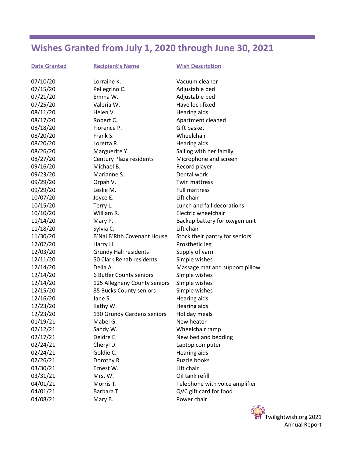# **Wishes Granted from July 1, 2020 through June 30, 2021**

| <b>Date Granted</b> | <b>Recipient's Name</b>      | <b>Wish Description</b>        |
|---------------------|------------------------------|--------------------------------|
| 07/10/20            | Lorraine K.                  | Vacuum cleaner                 |
| 07/15/20            | Pellegrino C.                | Adjustable bed                 |
| 07/21/20            | Emma W.                      | Adjustable bed                 |
| 07/25/20            | Valeria W.                   | Have lock fixed                |
| 08/11/20            | Helen V.                     | <b>Hearing aids</b>            |
| 08/17/20            | Robert C.                    | Apartment cleaned              |
| 08/18/20            | Florence P.                  | Gift basket                    |
| 08/20/20            | Frank S.                     | Wheelchair                     |
| 08/20/20            | Loretta R.                   | Hearing aids                   |
| 08/26/20            | Marguerite Y.                | Sailing with her family        |
| 08/27/20            | Century Plaza residents      | Microphone and screen          |
| 09/16/20            | Michael B.                   | Record player                  |
| 09/23/20            | Marianne S.                  | Dental work                    |
| 09/29/20            | Orpah V.                     | Twin mattress                  |
| 09/29/20            | Leslie M.                    | <b>Full mattress</b>           |
| 10/07/20            | Joyce E.                     | Lift chair                     |
| 10/15/20            | Terry L.                     | Lunch and fall decorations     |
| 10/10/20            | William R.                   | Electric wheelchair            |
| 11/14/20            | Mary P.                      | Backup battery for oxygen unit |
| 11/18/20            | Sylvia C.                    | Lift chair                     |
| 11/30/20            | B'Nai B'Rith Covenant House  | Stock their pantry for seniors |
| 12/02/20            | Harry H.                     | Prosthetic leg                 |
| 12/03/20            | <b>Grundy Hall residents</b> | Supply of yarn                 |
| 12/11/20            | 50 Clark Rehab residents     | Simple wishes                  |
| 12/14/20            | Della A.                     | Massage mat and support pillow |
| 12/14/20            | 6 Butler County seniors      | Simple wishes                  |
| 12/14/20            | 125 Allegheny County seniors | Simple wishes                  |
| 12/15/20            | 85 Bucks County seniors      | Simple wishes                  |
| 12/16/20            | Jane S.                      | <b>Hearing aids</b>            |
| 12/23/20            | Kathy W.                     | Hearing aids                   |
| 12/23/20            | 130 Grundy Gardens seniors   | Holiday meals                  |
| 01/19/21            | Mabel G.                     | New heater                     |
| 02/12/21            | Sandy W.                     | Wheelchair ramp                |
| 02/17/21            | Deidre E.                    | New bed and bedding            |
| 02/24/21            | Cheryl D.                    | Laptop computer                |
| 02/24/21            | Goldie C.                    | Hearing aids                   |
| 02/26/21            | Dorothy R.                   | Puzzle books                   |
| 03/30/21            | Ernest W.                    | Lift chair                     |
| 03/31/21            | Mrs. W.                      | Oil tank refill                |
| 04/01/21            | Morris T.                    | Telephone with voice amplifier |
| 04/01/21            | Barbara T.                   | QVC gift card for food         |
| 04/08/21            | Mary B.                      | Power chair                    |

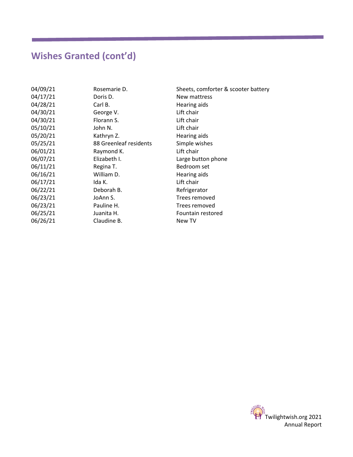# **Wishes Granted (cont'd)**

| 04/09/21 | Rosemarie D.           | Sheets, comforter & scooter battery |
|----------|------------------------|-------------------------------------|
| 04/17/21 | Doris D.               | New mattress                        |
| 04/28/21 | Carl B.                | Hearing aids                        |
| 04/30/21 | George V.              | Lift chair                          |
| 04/30/21 | Florann S.             | Lift chair                          |
| 05/10/21 | John N.                | Lift chair                          |
| 05/20/21 | Kathryn Z.             | Hearing aids                        |
| 05/25/21 | 88 Greenleaf residents | Simple wishes                       |
| 06/01/21 | Raymond K.             | Lift chair                          |
| 06/07/21 | Elizabeth I.           | Large button phone                  |
| 06/11/21 | Regina T.              | Bedroom set                         |
| 06/16/21 | William D.             | Hearing aids                        |
| 06/17/21 | Ida K.                 | Lift chair                          |
| 06/22/21 | Deborah B.             | Refrigerator                        |
| 06/23/21 | JoAnn S.               | Trees removed                       |
| 06/23/21 | Pauline H.             | Trees removed                       |
| 06/25/21 | Juanita H.             | Fountain restored                   |
| 06/26/21 | Claudine B.            | New TV                              |

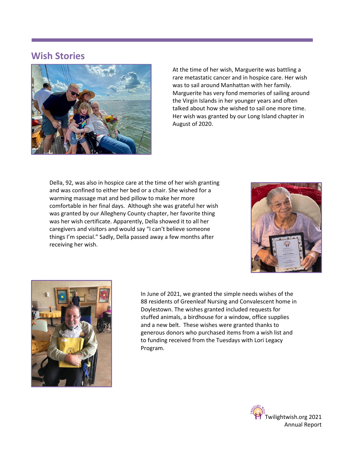### **Wish Stories**



At the time of her wish, Marguerite was battling a rare metastatic cancer and in hospice care. Her wish was to sail around Manhattan with her family. Marguerite has very fond memories of sailing around the Virgin Islands in her younger years and often talked about how she wished to sail one more time. Her wish was granted by our Long Island chapter in August of 2020.

Della, 92, was also in hospice care at the time of her wish granting and was confined to either her bed or a chair. She wished for a warming massage mat and bed pillow to make her more comfortable in her final days. Although she was grateful her wish was granted by our Allegheny County chapter, her favorite thing was her wish certificate. Apparently, Della showed it to all her caregivers and visitors and would say "I can't believe someone things I'm special." Sadly, Della passed away a few months after receiving her wish.





In June of 2021, we granted the simple needs wishes of the 88 residents of Greenleaf Nursing and Convalescent home in Doylestown. The wishes granted included requests for stuffed animals, a birdhouse for a window, office supplies and a new belt. These wishes were granted thanks to generous donors who purchased items from a wish list and to funding received from the Tuesdays with Lori Legacy Program.

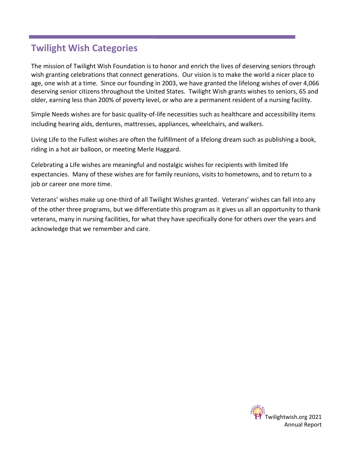# **Twilight Wish Categories**

The mission of Twilight Wish Foundation is to honor and enrich the lives of deserving seniors through wish granting celebrations that connect generations. Our vision is to make the world a nicer place to age, one wish at a time. Since our founding in 2003, we have granted the lifelong wishes of over 4,066 deserving senior citizens throughout the United States. Twilight Wish grants wishes to seniors, 65 and older, earning less than 200% of poverty level, or who are a permanent resident of a nursing facility.

Simple Needs wishes are for basic quality-of-life necessities such as healthcare and accessibility items including hearing aids, dentures, mattresses, appliances, wheelchairs, and walkers.

Living Life to the Fullest wishes are often the fulfillment of a lifelong dream such as publishing a book, riding in a hot air balloon, or meeting Merle Haggard.

Celebrating a Life wishes are meaningful and nostalgic wishes for recipients with limited life expectancies. Many of these wishes are for family reunions, visits to hometowns, and to return to a job or career one more time.

Veterans' wishes make up one-third of all Twilight Wishes granted. Veterans' wishes can fall into any of the other three programs, but we differentiate this program as it gives us all an opportunity to thank veterans, many in nursing facilities, for what they have specifically done for others over the years and acknowledge that we remember and care.

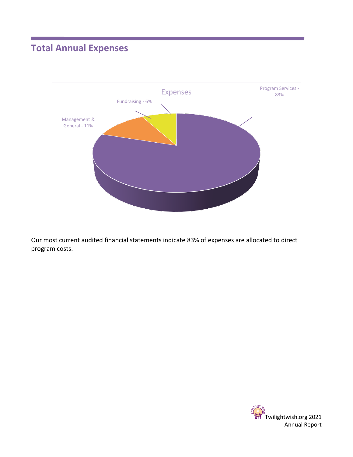# **Total Annual Expenses**



Our most current audited financial statements indicate 83% of expenses are allocated to direct program costs.

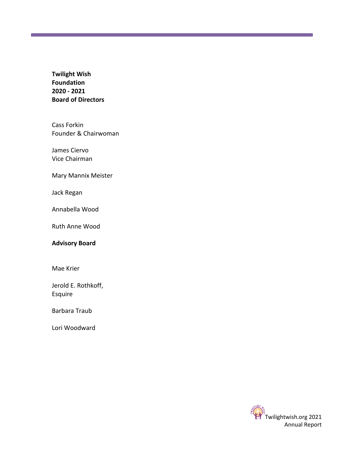**Twilight Wish Foundation 2020 - 2021 Board of Directors**

Cass Forkin Founder & Chairwoman

James Ciervo Vice Chairman

Mary Mannix Meister

Jack Regan

Annabella Wood

Ruth Anne Wood

#### **Advisory Board**

Mae Krier

Jerold E. Rothkoff, Esquire

Barbara Traub

Lori Woodward